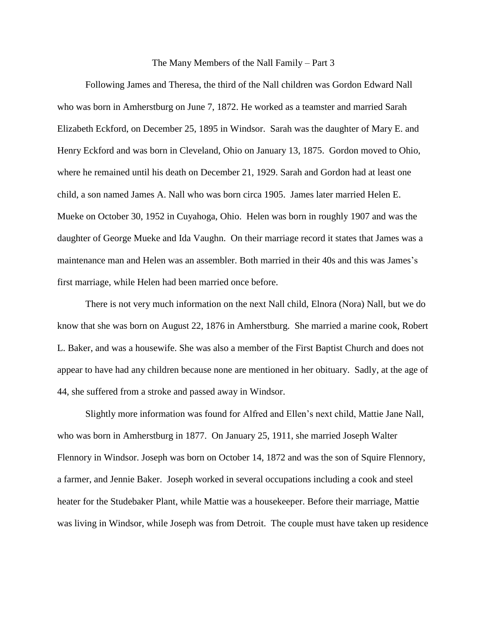## The Many Members of the Nall Family – Part 3

Following James and Theresa, the third of the Nall children was Gordon Edward Nall who was born in Amherstburg on June 7, 1872. He worked as a teamster and married Sarah Elizabeth Eckford, on December 25, 1895 in Windsor. Sarah was the daughter of Mary E. and Henry Eckford and was born in Cleveland, Ohio on January 13, 1875. Gordon moved to Ohio, where he remained until his death on December 21, 1929. Sarah and Gordon had at least one child, a son named James A. Nall who was born circa 1905. James later married Helen E. Mueke on October 30, 1952 in Cuyahoga, Ohio. Helen was born in roughly 1907 and was the daughter of George Mueke and Ida Vaughn. On their marriage record it states that James was a maintenance man and Helen was an assembler. Both married in their 40s and this was James's first marriage, while Helen had been married once before.

There is not very much information on the next Nall child, Elnora (Nora) Nall, but we do know that she was born on August 22, 1876 in Amherstburg. She married a marine cook, Robert L. Baker, and was a housewife. She was also a member of the First Baptist Church and does not appear to have had any children because none are mentioned in her obituary. Sadly, at the age of 44, she suffered from a stroke and passed away in Windsor.

Slightly more information was found for Alfred and Ellen's next child, Mattie Jane Nall, who was born in Amherstburg in 1877. On January 25, 1911, she married Joseph Walter Flennory in Windsor. Joseph was born on October 14, 1872 and was the son of Squire Flennory, a farmer, and Jennie Baker. Joseph worked in several occupations including a cook and steel heater for the Studebaker Plant, while Mattie was a housekeeper. Before their marriage, Mattie was living in Windsor, while Joseph was from Detroit. The couple must have taken up residence